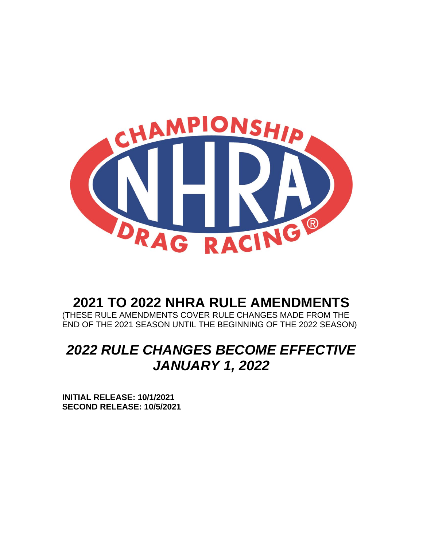

## **2021 TO 2022 NHRA RULE AMENDMENTS**

(THESE RULE AMENDMENTS COVER RULE CHANGES MADE FROM THE END OF THE 2021 SEASON UNTIL THE BEGINNING OF THE 2022 SEASON)

# *2022 RULE CHANGES BECOME EFFECTIVE JANUARY 1, 2022*

**INITIAL RELEASE: 10/1/2021 SECOND RELEASE: 10/5/2021**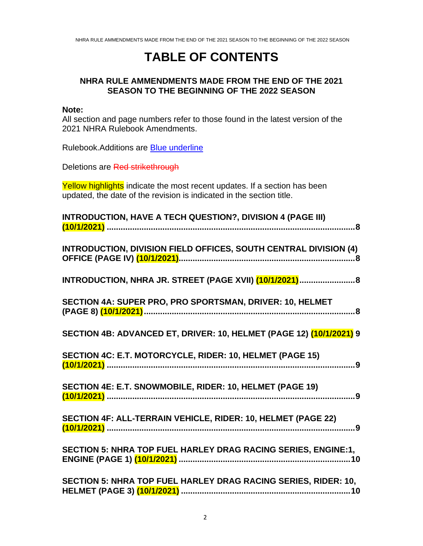## **TABLE OF CONTENTS**

#### **NHRA RULE AMMENDMENTS MADE FROM THE END OF THE 2021 SEASON TO THE BEGINNING OF THE 2022 SEASON**

#### **Note:**

All section and page numbers refer to those found in the latest version of the 2021 NHRA Rulebook Amendments.

Rulebook.Additions are Blue underline

Deletions are Red strikethrough

Yellow highlights indicate the most recent updates. If a section has been updated, the date of the revision is indicated in the section title.

| INTRODUCTION, HAVE A TECH QUESTION?, DIVISION 4 (PAGE III)          |
|---------------------------------------------------------------------|
| INTRODUCTION, DIVISION FIELD OFFICES, SOUTH CENTRAL DIVISION (4)    |
| INTRODUCTION, NHRA JR. STREET (PAGE XVII) (10/1/2021) 8             |
| SECTION 4A: SUPER PRO, PRO SPORTSMAN, DRIVER: 10, HELMET            |
| SECTION 4B: ADVANCED ET, DRIVER: 10, HELMET (PAGE 12) (10/1/2021) 9 |
| SECTION 4C: E.T. MOTORCYCLE, RIDER: 10, HELMET (PAGE 15)            |
| SECTION 4E: E.T. SNOWMOBILE, RIDER: 10, HELMET (PAGE 19)            |
| SECTION 4F: ALL-TERRAIN VEHICLE, RIDER: 10, HELMET (PAGE 22)        |
| SECTION 5: NHRA TOP FUEL HARLEY DRAG RACING SERIES, ENGINE:1,       |
| SECTION 5: NHRA TOP FUEL HARLEY DRAG RACING SERIES, RIDER: 10,      |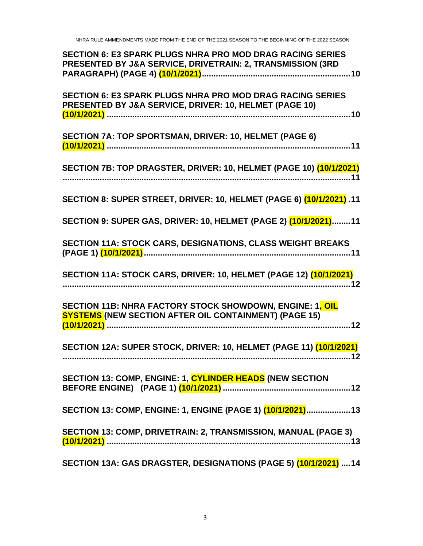| <b>SECTION 6: E3 SPARK PLUGS NHRA PRO MOD DRAG RACING SERIES</b><br>PRESENTED BY J&A SERVICE, DRIVETRAIN: 2, TRANSMISSION (3RD |
|--------------------------------------------------------------------------------------------------------------------------------|
| <b>SECTION 6: E3 SPARK PLUGS NHRA PRO MOD DRAG RACING SERIES</b><br>PRESENTED BY J&A SERVICE, DRIVER: 10, HELMET (PAGE 10)     |
| SECTION 7A: TOP SPORTSMAN, DRIVER: 10, HELMET (PAGE 6)                                                                         |
| SECTION 7B: TOP DRAGSTER, DRIVER: 10, HELMET (PAGE 10) (10/1/2021)                                                             |
| SECTION 8: SUPER STREET, DRIVER: 10, HELMET (PAGE 6) (10/1/2021).11                                                            |
| SECTION 9: SUPER GAS, DRIVER: 10, HELMET (PAGE 2) (10/1/2021)11                                                                |
| SECTION 11A: STOCK CARS, DESIGNATIONS, CLASS WEIGHT BREAKS                                                                     |
| SECTION 11A: STOCK CARS, DRIVER: 10, HELMET (PAGE 12) (10/1/2021)                                                              |
| SECTION 11B: NHRA FACTORY STOCK SHOWDOWN, ENGINE: 1, OIL<br><b>SYSTEMS (NEW SECTION AFTER OIL CONTAINMENT) (PAGE 15)</b>       |
| SECTION 12A: SUPER STOCK, DRIVER: 10, HELMET (PAGE 11) (10/1/2021)<br>12                                                       |
| SECTION 13: COMP, ENGINE: 1, CYLINDER HEADS (NEW SECTION                                                                       |
| SECTION 13: COMP, ENGINE: 1, ENGINE (PAGE 1) (10/1/2021) 13                                                                    |
| SECTION 13: COMP, DRIVETRAIN: 2, TRANSMISSION, MANUAL (PAGE 3)                                                                 |
| SECTION 13A: GAS DRAGSTER, DESIGNATIONS (PAGE 5) (10/1/2021)  14                                                               |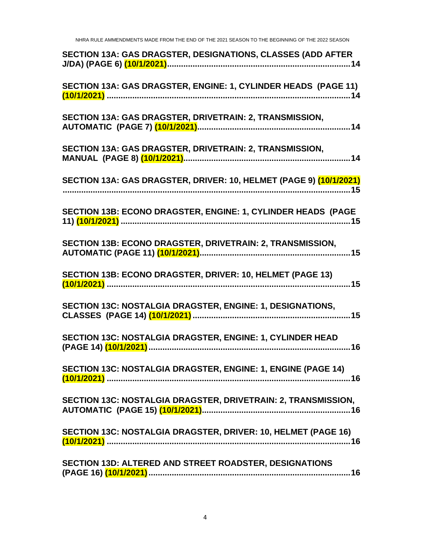| SECTION 13A: GAS DRAGSTER, DESIGNATIONS, CLASSES (ADD AFTER        |
|--------------------------------------------------------------------|
| SECTION 13A: GAS DRAGSTER, ENGINE: 1, CYLINDER HEADS (PAGE 11)     |
| SECTION 13A: GAS DRAGSTER, DRIVETRAIN: 2, TRANSMISSION,            |
| SECTION 13A: GAS DRAGSTER, DRIVETRAIN: 2, TRANSMISSION,            |
| SECTION 13A: GAS DRAGSTER, DRIVER: 10, HELMET (PAGE 9) (10/1/2021) |
| SECTION 13B: ECONO DRAGSTER, ENGINE: 1, CYLINDER HEADS (PAGE       |
| SECTION 13B: ECONO DRAGSTER, DRIVETRAIN: 2, TRANSMISSION,          |
| SECTION 13B: ECONO DRAGSTER, DRIVER: 10, HELMET (PAGE 13)          |
| SECTION 13C: NOSTALGIA DRAGSTER, ENGINE: 1, DESIGNATIONS,          |
| SECTION 13C: NOSTALGIA DRAGSTER, ENGINE: 1, CYLINDER HEAD          |
| SECTION 13C: NOSTALGIA DRAGSTER, ENGINE: 1, ENGINE (PAGE 14)       |
| SECTION 13C: NOSTALGIA DRAGSTER, DRIVETRAIN: 2, TRANSMISSION,      |
| SECTION 13C: NOSTALGIA DRAGSTER, DRIVER: 10, HELMET (PAGE 16)      |
| SECTION 13D: ALTERED AND STREET ROADSTER, DESIGNATIONS             |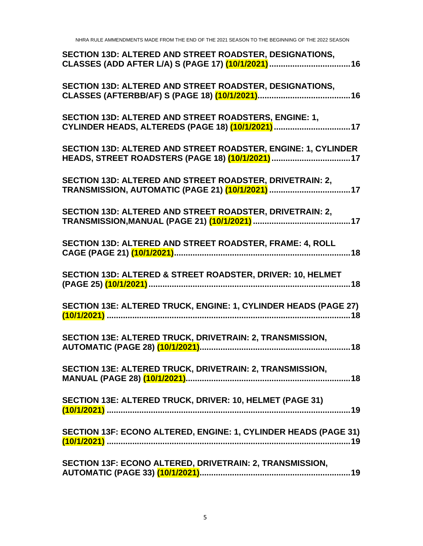| SECTION 13D: ALTERED AND STREET ROADSTER, DESIGNATIONS,<br>CLASSES (ADD AFTER L/A) S (PAGE 17) (10/1/2021)  16 |
|----------------------------------------------------------------------------------------------------------------|
| SECTION 13D: ALTERED AND STREET ROADSTER, DESIGNATIONS,                                                        |
| SECTION 13D: ALTERED AND STREET ROADSTERS, ENGINE: 1,<br>CYLINDER HEADS, ALTEREDS (PAGE 18) (10/1/2021)  17    |
| SECTION 13D: ALTERED AND STREET ROADSTER, ENGINE: 1, CYLINDER                                                  |
| SECTION 13D: ALTERED AND STREET ROADSTER, DRIVETRAIN: 2,<br>TRANSMISSION, AUTOMATIC (PAGE 21) (10/1/2021) 17   |
| SECTION 13D: ALTERED AND STREET ROADSTER, DRIVETRAIN: 2,                                                       |
| SECTION 13D: ALTERED AND STREET ROADSTER, FRAME: 4, ROLL                                                       |
| SECTION 13D: ALTERED & STREET ROADSTER, DRIVER: 10, HELMET                                                     |
| SECTION 13E: ALTERED TRUCK, ENGINE: 1, CYLINDER HEADS (PAGE 27)                                                |
| SECTION 13E: ALTERED TRUCK, DRIVETRAIN: 2, TRANSMISSION,                                                       |
| SECTION 13E: ALTERED TRUCK, DRIVETRAIN: 2, TRANSMISSION,                                                       |
| SECTION 13E: ALTERED TRUCK, DRIVER: 10, HELMET (PAGE 31)                                                       |
| SECTION 13F: ECONO ALTERED, ENGINE: 1, CYLINDER HEADS (PAGE 31)                                                |
| SECTION 13F: ECONO ALTERED, DRIVETRAIN: 2, TRANSMISSION,                                                       |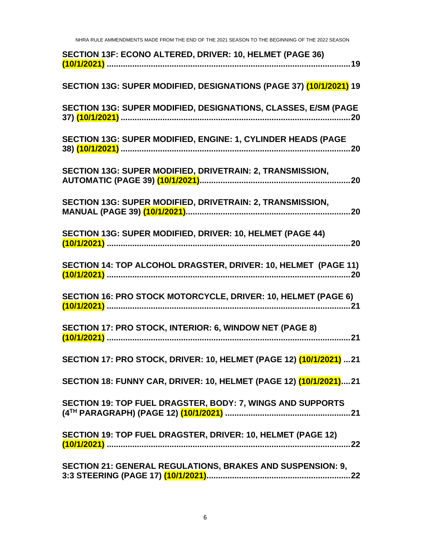| SECTION 13F: ECONO ALTERED, DRIVER: 10, HELMET (PAGE 36)            |
|---------------------------------------------------------------------|
| SECTION 13G: SUPER MODIFIED, DESIGNATIONS (PAGE 37) (10/1/2021) 19  |
| SECTION 13G: SUPER MODIFIED, DESIGNATIONS, CLASSES, E/SM (PAGE      |
| SECTION 13G: SUPER MODIFIED, ENGINE: 1, CYLINDER HEADS (PAGE        |
| SECTION 13G: SUPER MODIFIED, DRIVETRAIN: 2, TRANSMISSION,           |
| SECTION 13G: SUPER MODIFIED, DRIVETRAIN: 2, TRANSMISSION,           |
| SECTION 13G: SUPER MODIFIED, DRIVER: 10, HELMET (PAGE 44)           |
| SECTION 14: TOP ALCOHOL DRAGSTER, DRIVER: 10, HELMET (PAGE 11)      |
| SECTION 16: PRO STOCK MOTORCYCLE, DRIVER: 10, HELMET (PAGE 6)       |
| SECTION 17: PRO STOCK, INTERIOR: 6, WINDOW NET (PAGE 8)             |
| SECTION 17: PRO STOCK, DRIVER: 10, HELMET (PAGE 12) (10/1/2021)  21 |
| SECTION 18: FUNNY CAR, DRIVER: 10, HELMET (PAGE 12) (10/1/2021)21   |
| SECTION 19: TOP FUEL DRAGSTER, BODY: 7, WINGS AND SUPPORTS          |
| SECTION 19: TOP FUEL DRAGSTER, DRIVER: 10, HELMET (PAGE 12)         |
| <b>SECTION 21: GENERAL REGULATIONS, BRAKES AND SUSPENSION: 9,</b>   |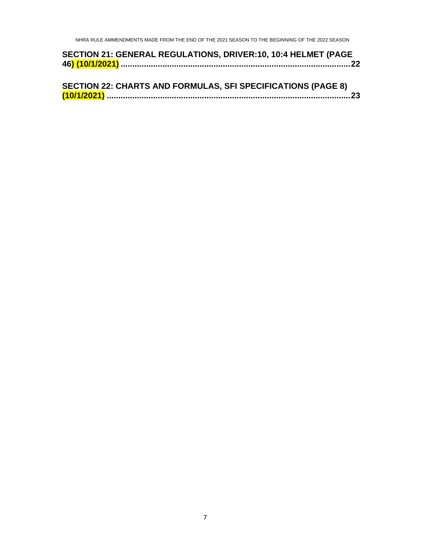|  | SECTION 21: GENERAL REGULATIONS, DRIVER:10, 10:4 HELMET (PAGE |
|--|---------------------------------------------------------------|
|  |                                                               |

|  | <b>SECTION 22: CHARTS AND FORMULAS, SFI SPECIFICATIONS (PAGE 8)</b> |
|--|---------------------------------------------------------------------|
|  |                                                                     |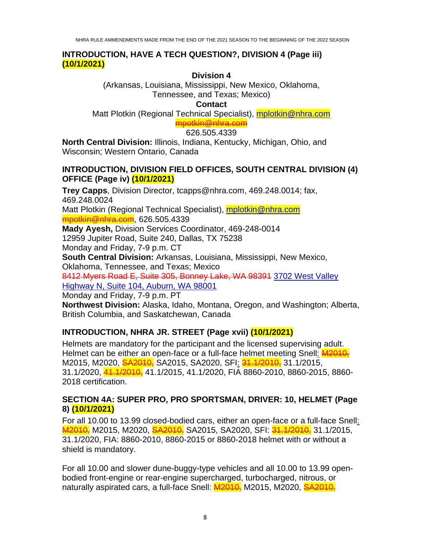#### <span id="page-7-0"></span>**INTRODUCTION, HAVE A TECH QUESTION?, DIVISION 4 (Page iii) (10/1/2021)**

#### **Division 4**

(Arkansas, Louisiana, Mississippi, New Mexico, Oklahoma,

Tennessee, and Texas; Mexico)

**Contact**

Matt Plotkin (Regional Technical Specialist), **[mplotkin@nhra.com](mailto:mplotkin@nhra.com)** 

mpotkin@nhra.com

626.505.4339

**North Central Division:** Illinois, Indiana, Kentucky, Michigan, Ohio, and Wisconsin; Western Ontario, Canada

#### <span id="page-7-1"></span>**INTRODUCTION, DIVISION FIELD OFFICES, SOUTH CENTRAL DIVISION (4) OFFICE (Page iv) (10/1/2021)**

**Trey Capps**, Division Director, tcapps@nhra.com, 469.248.0014; fax, 469.248.0024 Matt Plotkin (Regional Technical Specialist), [mplotkin@nhra.com](mailto:mplotkin@nhra.com) mpotkin@nhra.com, 626.505.4339 **Mady Ayesh,** Division Services Coordinator, 469-248-0014 12959 Jupiter Road, Suite 240, Dallas, TX 75238 Monday and Friday, 7-9 p.m. CT **South Central Division:** Arkansas, Louisiana, Mississippi, New Mexico, Oklahoma, Tennessee, and Texas; Mexico 8412 Myers Road E, Suite 305, Bonney Lake, WA 98391 3702 West Valley Highway N, Suite 104, Auburn, WA 98001 Monday and Friday, 7-9 p.m. PT

**Northwest Division:** Alaska, Idaho, Montana, Oregon, and Washington; Alberta, British Columbia, and Saskatchewan, Canada

### <span id="page-7-2"></span>**INTRODUCTION, NHRA JR. STREET (Page xvii) (10/1/2021)**

Helmets are mandatory for the participant and the licensed supervising adult. Helmet can be either an open-face or a full-face helmet meeting Snell: **M2010**, M2015, M2020, SA2010, SA2015, SA2020, SFI<u>:</u> 31.1/2010, 31.1/2015, 31.1/2020, 41.1/2010, 41.1/2015, 41.1/2020, FIA 8860-2010, 8860-2015, 8860- 2018 certification.

#### <span id="page-7-3"></span>**SECTION 4A: SUPER PRO, PRO SPORTSMAN, DRIVER: 10, HELMET (Page 8) (10/1/2021)**

For all 10.00 to 13.99 closed-bodied cars, either an open-face or a full-face Snell: M<sub>2010</sub>, M2015, M2020, SA2010, SA2015, SA2020, SFI: 31.1/2010, 31.1/2015, 31.1/2020, FIA: 8860-2010, 8860-2015 or 8860-2018 helmet with or without a shield is mandatory.

For all 10.00 and slower dune-buggy-type vehicles and all 10.00 to 13.99 openbodied front-engine or rear-engine supercharged, turbocharged, nitrous, or naturally aspirated cars, a full-face Snell: **M2010**, M2015, M2020, *SA2010*,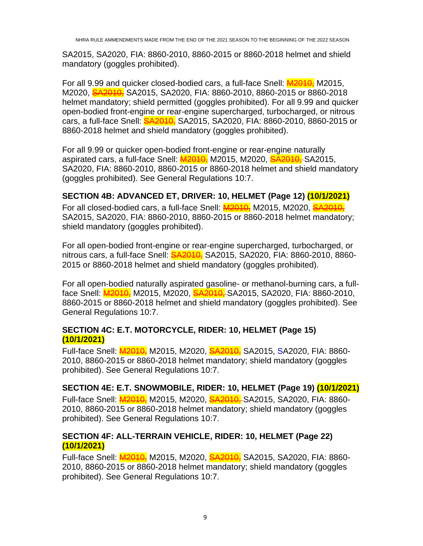SA2015, SA2020, FIA: 8860-2010, 8860-2015 or 8860-2018 helmet and shield mandatory (goggles prohibited).

For all 9.99 and quicker closed-bodied cars, a full-face Snell: M2010, M2015, M2020, SA2010, SA2015, SA2020, FIA: 8860-2010, 8860-2015 or 8860-2018 helmet mandatory; shield permitted (goggles prohibited). For all 9.99 and quicker open-bodied front-engine or rear-engine supercharged, turbocharged, or nitrous cars, a full-face Snell: **SA2010,** SA2015, SA2020, FIA: 8860-2010, 8860-2015 or 8860-2018 helmet and shield mandatory (goggles prohibited).

For all 9.99 or quicker open-bodied front-engine or rear-engine naturally aspirated cars, a full-face Snell: **M2010,** M2015, M2020, SA2010, SA2015, SA2020, FIA: 8860-2010, 8860-2015 or 8860-2018 helmet and shield mandatory (goggles prohibited). See General Regulations 10:7.

#### <span id="page-8-0"></span>**SECTION 4B: ADVANCED ET, DRIVER: 10, HELMET (Page 12) (10/1/2021)**

For all closed-bodied cars, a full-face Snell: **M2010**, M2015, M2020, SA2010, SA2015, SA2020, FIA: 8860-2010, 8860-2015 or 8860-2018 helmet mandatory; shield mandatory (goggles prohibited).

For all open-bodied front-engine or rear-engine supercharged, turbocharged, or nitrous cars, a full-face Snell: **SA2010,** SA2015, SA2020, FIA: 8860-2010, 8860-2015 or 8860-2018 helmet and shield mandatory (goggles prohibited).

For all open-bodied naturally aspirated gasoline- or methanol-burning cars, a fullface Snell: <mark>M2010,</mark> M2015, M2020, SA2010, SA2015, SA2020, FIA: 8860-2010, 8860-2015 or 8860-2018 helmet and shield mandatory (goggles prohibited). See General Regulations 10:7.

#### <span id="page-8-1"></span>**SECTION 4C: E.T. MOTORCYCLE, RIDER: 10, HELMET (Page 15) (10/1/2021)**

Full-face Snell: **M2010**, M2015, M2020, SA2010, SA2015, SA2020, FIA: 8860-2010, 8860-2015 or 8860-2018 helmet mandatory; shield mandatory (goggles prohibited). See General Regulations 10:7.

#### <span id="page-8-2"></span>**SECTION 4E: E.T. SNOWMOBILE, RIDER: 10, HELMET (Page 19) (10/1/2021)**

Full-face Snell: **M2010**, M2015, M2020, SA2010, SA2015, SA2020, FIA: 8860-2010, 8860-2015 or 8860-2018 helmet mandatory; shield mandatory (goggles prohibited). See General Regulations 10:7.

#### <span id="page-8-3"></span>**SECTION 4F: ALL-TERRAIN VEHICLE, RIDER: 10, HELMET (Page 22) (10/1/2021)**

Full-face Snell: **M2010**, M2015, M2020, SA2010, SA2015, SA2020, FIA: 8860-2010, 8860-2015 or 8860-2018 helmet mandatory; shield mandatory (goggles prohibited). See General Regulations 10:7.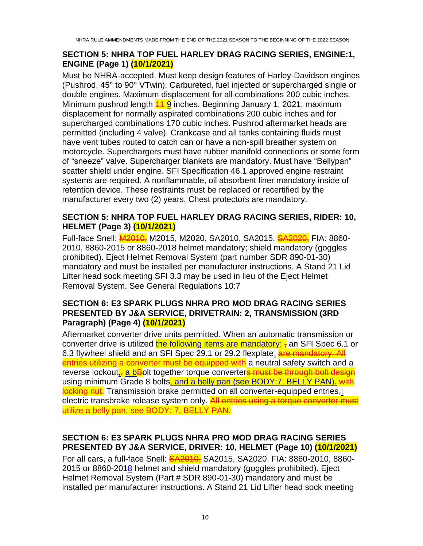#### <span id="page-9-0"></span>**SECTION 5: NHRA TOP FUEL HARLEY DRAG RACING SERIES, ENGINE:1, ENGINE (Page 1) (10/1/2021)**

Must be NHRA-accepted. Must keep design features of Harley-Davidson engines (Pushrod, 45° to 90° VTwin). Carbureted, fuel injected or supercharged single or double engines. Maximum displacement for all combinations 200 cubic inches. Minimum pushrod length  $\frac{119}{110}$  inches. Beginning January 1, 2021, maximum displacement for normally aspirated combinations 200 cubic inches and for supercharged combinations 170 cubic inches. Pushrod aftermarket heads are permitted (including 4 valve). Crankcase and all tanks containing fluids must have vent tubes routed to catch can or have a non-spill breather system on motorcycle. Superchargers must have rubber manifold connections or some form of "sneeze" valve. Supercharger blankets are mandatory. Must have "Bellypan" scatter shield under engine. SFI Specification 46.1 approved engine restraint systems are required. A nonflammable, oil absorbent liner mandatory inside of retention device. These restraints must be replaced or recertified by the manufacturer every two (2) years. Chest protectors are mandatory.

#### <span id="page-9-1"></span>**SECTION 5: NHRA TOP FUEL HARLEY DRAG RACING SERIES, RIDER: 10, HELMET (Page 3) (10/1/2021)**

Full-face Snell: **M2010**, M2015, M2020, SA2010, SA2015, SA2020, FIA: 8860-2010, 8860-2015 or 8860-2018 helmet mandatory; shield mandatory (goggles prohibited). Eject Helmet Removal System (part number SDR 890-01-30) mandatory and must be installed per manufacturer instructions. A Stand 21 Lid Lifter head sock meeting SFI 3.3 may be used in lieu of the Eject Helmet Removal System. See General Regulations 10:7

#### <span id="page-9-2"></span>**SECTION 6: E3 SPARK PLUGS NHRA PRO MOD DRAG RACING SERIES PRESENTED BY J&A SERVICE, DRIVETRAIN: 2, TRANSMISSION (3RD Paragraph) (Page 4) (10/1/2021)**

Aftermarket converter drive units permitted. When an automatic transmission or converter drive is utilized the following items are mandatory: - an SFI Spec 6.1 or 6.3 flywheel shield and an SFI Spec 29.1 or 29.2 flexplate, are mandatory. All entries utilizing a converter must be equipped with a neutral safety switch and a reverse lockout, a bBolt together torque converters must be through bolt using minimum Grade 8 bolts, and a belly pan (see BODY:7, BELLY PAN). with locking nut. Transmission brake permitted on all converter-equipped entries-: electric transbrake release system only. All entries using a torque converter must utilize a belly pan, see BODY: 7, BELLY PAN.

#### <span id="page-9-3"></span>**SECTION 6: E3 SPARK PLUGS NHRA PRO MOD DRAG RACING SERIES PRESENTED BY J&A SERVICE, DRIVER: 10, HELMET (Page 10) (10/1/2021)**

For all cars, a full-face Snell: **SA2010,** SA2015, SA2020, FIA: 8860-2010, 8860-2015 or 8860-2018 helmet and shield mandatory (goggles prohibited). Eject Helmet Removal System (Part # SDR 890-01-30) mandatory and must be installed per manufacturer instructions. A Stand 21 Lid Lifter head sock meeting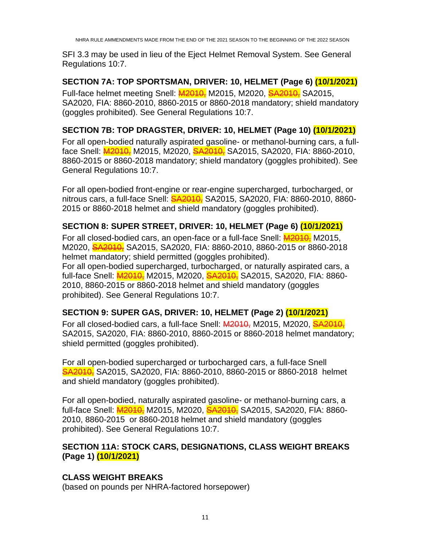SFI 3.3 may be used in lieu of the Eject Helmet Removal System. See General Regulations 10:7.

#### <span id="page-10-0"></span>**SECTION 7A: TOP SPORTSMAN, DRIVER: 10, HELMET (Page 6) (10/1/2021)**

Full-face helmet meeting Snell: **M2010**, M2015, M2020, SA2010, SA2015. SA2020, FIA: 8860-2010, 8860-2015 or 8860-2018 mandatory; shield mandatory (goggles prohibited). See General Regulations 10:7.

#### <span id="page-10-1"></span>**SECTION 7B: TOP DRAGSTER, DRIVER: 10, HELMET (Page 10) (10/1/2021)**

For all open-bodied naturally aspirated gasoline- or methanol-burning cars, a fullface Snell: <mark>M2010,</mark> M2015, M2020, SA2010, SA2015, SA2020, FIA: 8860-2010, 8860-2015 or 8860-2018 mandatory; shield mandatory (goggles prohibited). See General Regulations 10:7.

For all open-bodied front-engine or rear-engine supercharged, turbocharged, or nitrous cars, a full-face Snell: **SA2010,** SA2015, SA2020, FIA: 8860-2010, 8860-2015 or 8860-2018 helmet and shield mandatory (goggles prohibited).

#### <span id="page-10-2"></span>**SECTION 8: SUPER STREET, DRIVER: 10, HELMET (Page 6) (10/1/2021)**

For all closed-bodied cars, an open-face or a full-face Snell: M2010, M2015, M2020, **SA2010,** SA2015, SA2020, FIA: 8860-2010, 8860-2015 or 8860-2018 helmet mandatory; shield permitted (goggles prohibited). For all open-bodied supercharged, turbocharged, or naturally aspirated cars, a full-face Snell: <mark>M2010,</mark> M2015, M2020, SA2010, SA2015, SA2020, FIA: 8860-2010, 8860-2015 or 8860-2018 helmet and shield mandatory (goggles prohibited). See General Regulations 10:7.

#### <span id="page-10-3"></span>**SECTION 9: SUPER GAS, DRIVER: 10, HELMET (Page 2) (10/1/2021)**

For all closed-bodied cars, a full-face Snell: M2010, M2015, M2020, SA2010, SA2015, SA2020, FIA: 8860-2010, 8860-2015 or 8860-2018 helmet mandatory; shield permitted (goggles prohibited).

For all open-bodied supercharged or turbocharged cars, a full-face Snell **SA2010, SA2015, SA2020, FIA: 8860-2010, 8860-2015 or 8860-2018 helmet** and shield mandatory (goggles prohibited).

For all open-bodied, naturally aspirated gasoline- or methanol-burning cars, a full-face Snell: **M2010,** M2015, M2020, SA2010, SA2015, SA2020, FIA: 8860-2010, 8860-2015 or 8860-2018 helmet and shield mandatory (goggles prohibited). See General Regulations 10:7.

#### <span id="page-10-4"></span>**SECTION 11A: STOCK CARS, DESIGNATIONS, CLASS WEIGHT BREAKS (Page 1) (10/1/2021)**

#### **CLASS WEIGHT BREAKS**

(based on pounds per NHRA-factored horsepower)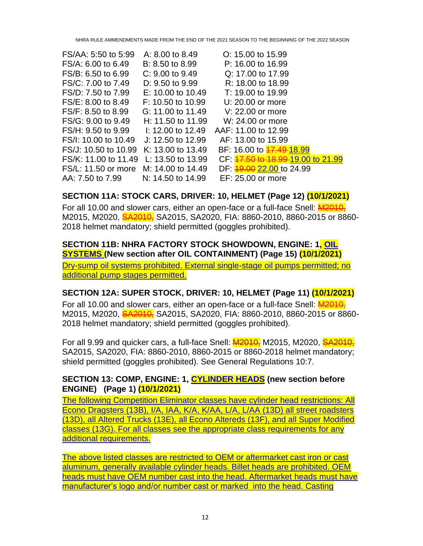| FS/AA: 5:50 to 5:99                   | A: 8.00 to 8.49     | O: 15.00 to 15.99                                                                             |
|---------------------------------------|---------------------|-----------------------------------------------------------------------------------------------|
| FS/A: 6.00 to 6.49                    | B: 8.50 to 8.99     | P: 16.00 to 16.99                                                                             |
| FS/B: 6.50 to 6.99                    | $C: 9.00$ to $9.49$ | Q: 17.00 to 17.99                                                                             |
| FS/C: 7,00 to 7.49                    | $D: 9.50$ to $9.99$ | R: 18.00 to 18.99                                                                             |
| FS/D: 7.50 to 7.99                    | $E: 10.00$ to 10.49 | T: 19.00 to 19.99                                                                             |
| FS/E: 8.00 to 8.49                    | $F: 10.50$ to 10.99 | U: 20.00 or more                                                                              |
| FS/F: 8.50 to 8.99                    | G: 11.00 to 11.49   | V: 22.00 or more                                                                              |
| FS/G: 9.00 to 9.49                    | H: 11.50 to 11.99   | W: 24.00 or more                                                                              |
| FS/H: 9.50 to 9.99 1: 12.00 to 12.49  |                     | AAF: 11,00 to 12.99                                                                           |
| FS/I: 10.00 to 10.49                  | J: 12.50 to 12.99   | AF: 13.00 to 15.99                                                                            |
| FS/J: 10.50 to 10.99                  | K: 13.00 to 13.49   | BF: 16.00 to <b>17.49-18.99</b>                                                               |
| FS/K: 11.00 to 11.49                  | L: 13.50 to 13.99   | CF: $\frac{47.50 \text{ to } 18.99 \text{ -} 19.00 \text{ to } 21.99}{100 \text{ to } 21.99}$ |
| FS/L: 11.50 or more M: 14.00 to 14.49 |                     | DF: $19.002.00$ to 24.99                                                                      |
| AA: 7.50 to 7.99                      | N: 14.50 to 14.99   | EF: 25.00 or more                                                                             |

#### <span id="page-11-0"></span>**SECTION 11A: STOCK CARS, DRIVER: 10, HELMET (Page 12) (10/1/2021)**

For all 10.00 and slower cars, either an open-face or a full-face Snell: M2010, M2015, M2020, SA2010, SA2015, SA2020, FIA: 8860-2010, 8860-2015 or 8860-2018 helmet mandatory; shield permitted (goggles prohibited).

#### <span id="page-11-1"></span>**SECTION 11B: NHRA FACTORY STOCK SHOWDOWN, ENGINE: 1, OIL SYSTEMS (New section after OIL CONTAINMENT) (Page 15) (10/1/2021)**

Dry-sump oil systems prohibited. External single-stage oil pumps permitted; no additional pump stages permitted.

#### <span id="page-11-2"></span>**SECTION 12A: SUPER STOCK, DRIVER: 10, HELMET (Page 11) (10/1/2021)**

For all 10.00 and slower cars, either an open-face or a full-face Snell: M2010, M2015, M2020, **SA2010,** SA2015, SA2020, FIA: 8860-2010, 8860-2015 or 8860-2018 helmet mandatory; shield permitted (goggles prohibited).

For all 9.99 and quicker cars, a full-face Snell: M2010, M2015, M2020, SA2010, SA2015, SA2020, FIA: 8860-2010, 8860-2015 or 8860-2018 helmet mandatory; shield permitted (goggles prohibited). See General Regulations 10:7.

#### <span id="page-11-3"></span>**SECTION 13: COMP, ENGINE: 1, CYLINDER HEADS (new section before ENGINE) (Page 1) (10/1/2021)**

The following Competition Eliminator classes have cylinder head restrictions: All Econo Dragsters (13B), I/A, IAA, K/A, K/AA, L/A, L/AA (13D) all street roadsters (13D), all Altered Trucks (13E), all Econo Altereds (13F), and all Super Modified classes (13G). For all classes see the appropriate class requirements for any additional requirements.

The above listed classes are restricted to OEM or aftermarket cast iron or cast aluminum, generally available cylinder heads. Billet heads are prohibited. OEM heads must have OEM number cast into the head. Aftermarket heads must have manufacturer's logo and/or number cast or marked into the head. Casting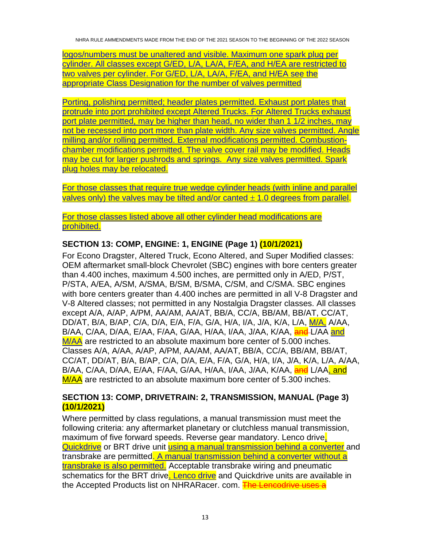logos/numbers must be unaltered and visible. Maximum one spark plug per cylinder. All classes except G/ED, L/A, LA/A, F/EA, and H/EA are restricted to two valves per cylinder. For G/ED, L/A, LA/A, F/EA, and H/EA see the appropriate Class Designation for the number of valves permitted

Porting, polishing permitted; header plates permitted. Exhaust port plates that protrude into port prohibited except Altered Trucks. For Altered Trucks exhaust port plate permitted, may be higher than head, no wider than 1 1/2 inches, may not be recessed into port more than plate width. Any size valves permitted. Angle milling and/or rolling permitted. External modifications permitted. Combustionchamber modifications permitted. The valve cover rail may be modified. Heads may be cut for larger pushrods and springs. Any size valves permitted. Spark plug holes may be relocated.

For those classes that require true wedge cylinder heads (with inline and parallel valves only) the valves may be tilted and/or canted  $\pm$  1.0 degrees from parallel.

For those classes listed above all other cylinder head modifications are prohibited.

#### <span id="page-12-0"></span>**SECTION 13: COMP, ENGINE: 1, ENGINE (Page 1) (10/1/2021)**

For Econo Dragster, Altered Truck, Econo Altered, and Super Modified classes: OEM aftermarket small-block Chevrolet (SBC) engines with bore centers greater than 4.400 inches, maximum 4.500 inches, are permitted only in A/ED, P/ST, P/STA, A/EA, A/SM, A/SMA, B/SM, B/SMA, C/SM, and C/SMA. SBC engines with bore centers greater than 4.400 inches are permitted in all V-8 Dragster and V-8 Altered classes; not permitted in any Nostalgia Dragster classes. All classes except A/A, A/AP, A/PM, AA/AM, AA/AT, BB/A, CC/A, BB/AM, BB/AT, CC/AT, DD/AT, B/A, B/AP, C/A, D/A, E/A, F/A, G/A, H/A, I/A, J/A, K/A, L/A, M/A, A/AA, B/AA, C/AA, D/AA, E/AA, F/AA, G/AA, H/AA, I/AA, J/AA, K/AA, and L/AA and M/AA are restricted to an absolute maximum bore center of 5.000 inches. Classes A/A, A/AA, A/AP, A/PM, AA/AM, AA/AT, BB/A, CC/A, BB/AM, BB/AT, CC/AT, DD/AT, B/A, B/AP, C/A, D/A, E/A, F/A, G/A, H/A, I/A, J/A, K/A, L/A, A/AA, B/AA, C/AA, D/AA, E/AA, F/AA, G/AA, H/AA, I/AA, J/AA, K/AA, and L/AA, and M/AA are restricted to an absolute maximum bore center of 5.300 inches.

#### <span id="page-12-1"></span>**SECTION 13: COMP, DRIVETRAIN: 2, TRANSMISSION, MANUAL (Page 3) (10/1/2021)**

Where permitted by class regulations, a manual transmission must meet the following criteria: any aftermarket planetary or clutchless manual transmission, maximum of five forward speeds. Reverse gear mandatory. Lenco drive, Quickdrive or BRT drive unit using a manual transmission behind a converter and transbrake are permitted. A manual transmission behind a converter without a transbrake is also permitted. Acceptable transbrake wiring and pneumatic schematics for the BRT drive, Lenco drive and Quickdrive units are available in the Accepted Products list on NHRARacer. com. The Lencodrive uses a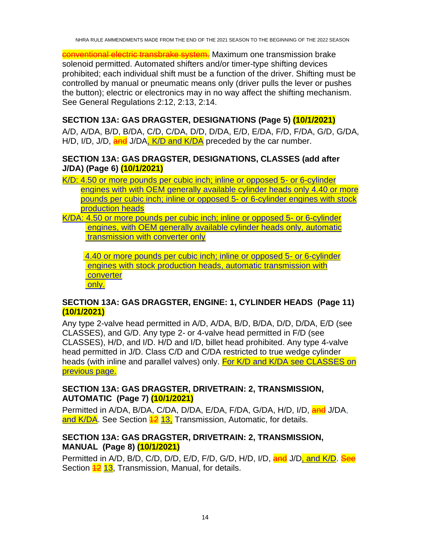conventional electric transbrake system. Maximum one transmission brake solenoid permitted. Automated shifters and/or timer-type shifting devices prohibited; each individual shift must be a function of the driver. Shifting must be controlled by manual or pneumatic means only (driver pulls the lever or pushes the button); electric or electronics may in no way affect the shifting mechanism. See General Regulations 2:12, 2:13, 2:14.

### <span id="page-13-0"></span>**SECTION 13A: GAS DRAGSTER, DESIGNATIONS (Page 5) (10/1/2021)**

A/D, A/DA, B/D, B/DA, C/D, C/DA, D/D, D/DA, E/D, E/DA, F/D, F/DA, G/D, G/DA, H/D, I/D, J/D, and J/DA, K/D and K/DA preceded by the car number.

#### <span id="page-13-1"></span>**SECTION 13A: GAS DRAGSTER, DESIGNATIONS, CLASSES (add after J/DA) (Page 6) (10/1/2021)**

- K/D: 4.50 or more pounds per cubic inch; inline or opposed 5- or 6-cylinder engines with with OEM generally available cylinder heads only 4.40 or more pounds per cubic inch; inline or opposed 5- or 6-cylinder engines with stock production heads
- K/DA: 4.50 or more pounds per cubic inch; inline or opposed 5- or 6-cylinder engines, with OEM generally available cylinder heads only, automatic transmission with converter only

 4.40 or more pounds per cubic inch; inline or opposed 5- or 6-cylinder engines with stock production heads, automatic transmission with converter only.

#### <span id="page-13-2"></span>**SECTION 13A: GAS DRAGSTER, ENGINE: 1, CYLINDER HEADS (Page 11) (10/1/2021)**

Any type 2-valve head permitted in A/D, A/DA, B/D, B/DA, D/D, D/DA, E/D (see CLASSES), and G/D. Any type 2- or 4-valve head permitted in F/D (see CLASSES), H/D, and I/D. H/D and I/D, billet head prohibited. Any type 4-valve head permitted in J/D. Class C/D and C/DA restricted to true wedge cylinder heads (with inline and parallel valves) only. For K/D and K/DA see CLASSES on previous page.

#### <span id="page-13-3"></span>**SECTION 13A: GAS DRAGSTER, DRIVETRAIN: 2, TRANSMISSION, AUTOMATIC (Page 7) (10/1/2021)**

Permitted in A/DA, B/DA, C/DA, D/DA, E/DA, F/DA, G/DA, H/D, I/D, and J/DA, and K/DA. See Section 42 13, Transmission, Automatic, for details.

#### <span id="page-13-4"></span>**SECTION 13A: GAS DRAGSTER, DRIVETRAIN: 2, TRANSMISSION, MANUAL (Page 8) (10/1/2021)**

Permitted in A/D, B/D, C/D, D/D, E/D, F/D, G/D, H/D, I/D, and J/D, and K/D. See Section  $\frac{42}{13}$ , Transmission, Manual, for details.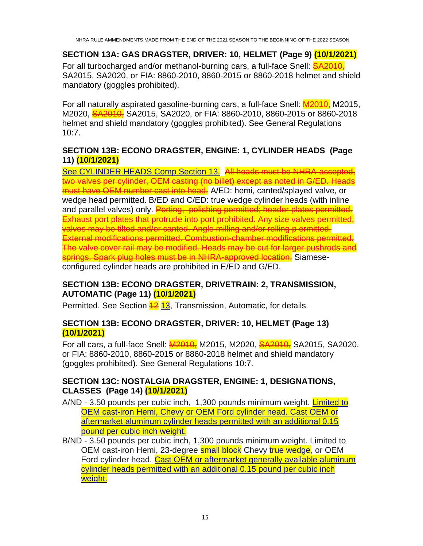#### <span id="page-14-0"></span>**SECTION 13A: GAS DRAGSTER, DRIVER: 10, HELMET (Page 9) (10/1/2021)** For all turbocharged and/or methanol-burning cars, a full-face Snell: **SA2010**, SA2015, SA2020, or FIA: 8860-2010, 8860-2015 or 8860-2018 helmet and shield mandatory (goggles prohibited).

For all naturally aspirated gasoline-burning cars, a full-face Snell: **M2010**, M2015, M2020, **SA2010**, SA2015, SA2020, or FIA: 8860-2010, 8860-2015 or 8860-2018 helmet and shield mandatory (goggles prohibited). See General Regulations 10:7.

#### <span id="page-14-1"></span>**SECTION 13B: ECONO DRAGSTER, ENGINE: 1, CYLINDER HEADS (Page 11) (10/1/2021)**

See CYLINDER HEADS Comp Section 13. All heads must be NHRA-accepted, two valves per cylinder, OEM casting (no billet) except as noted in G/ED. Heads must have OEM number cast into head. A/ED: hemi, canted/splayed valve, or wedge head permitted. B/ED and C/ED: true wedge cylinder heads (with inline and parallel valves) only. Porting, polishing permitted; header plates permitted. Exhaust port plates that protrude into port prohibited. Any size valves permitted, valves may be tilted and/or canted. Angle milling and/or rolling p ermitted. External modifications permitted. Combustion-chamber modifications permitted. The valve cover rail may be modified. Heads may be cut for larger pushrods and springs. Spark plug holes must be in NHRA-approved location. Siameseconfigured cylinder heads are prohibited in E/ED and G/ED.

#### <span id="page-14-2"></span>**SECTION 13B: ECONO DRAGSTER, DRIVETRAIN: 2, TRANSMISSION, AUTOMATIC (Page 11) (10/1/2021)**

Permitted. See Section **42 13**, Transmission, Automatic, for details.

#### <span id="page-14-3"></span>**SECTION 13B: ECONO DRAGSTER, DRIVER: 10, HELMET (Page 13) (10/1/2021)**

For all cars, a full-face Snell: *M2010*, M2015, M2020, SA2010, SA2020, SA2020, or FIA: 8860-2010, 8860-2015 or 8860-2018 helmet and shield mandatory (goggles prohibited). See General Regulations 10:7.

#### <span id="page-14-4"></span>**SECTION 13C: NOSTALGIA DRAGSTER, ENGINE: 1, DESIGNATIONS, CLASSES (Page 14) (10/1/2021)**

- A/ND 3.50 pounds per cubic inch, 1,300 pounds minimum weight. Limited to OEM cast-iron Hemi, Chevy or OEM Ford cylinder head. Cast OEM or aftermarket aluminum cylinder heads permitted with an additional 0.15 pound per cubic inch weight.
- B/ND 3.50 pounds per cubic inch, 1,300 pounds minimum weight. Limited to OEM cast-iron Hemi, 23-degree **small block** Chevy true wedge, or OEM Ford cylinder head. Cast OEM or aftermarket generally available aluminum cylinder heads permitted with an additional 0.15 pound per cubic inch weight.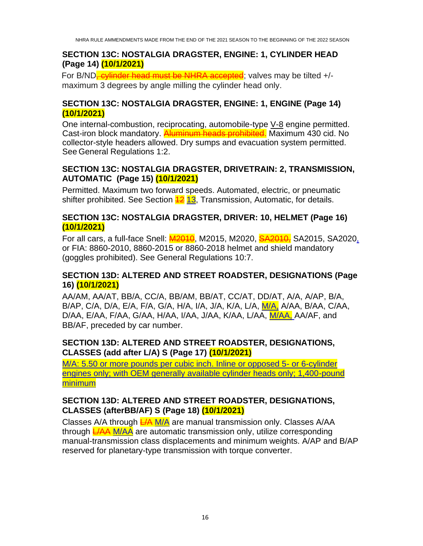#### <span id="page-15-0"></span>**SECTION 13C: NOSTALGIA DRAGSTER, ENGINE: 1, CYLINDER HEAD (Page 14) (10/1/2021)**

For B/ND<del>, cylinder head must be NHRA accepted</del>; valves may be tilted +/maximum 3 degrees by angle milling the cylinder head only.

#### <span id="page-15-1"></span>**SECTION 13C: NOSTALGIA DRAGSTER, ENGINE: 1, ENGINE (Page 14) (10/1/2021)**

One internal-combustion, reciprocating, automobile-type V-8 engine permitted. Cast-iron block mandatory. Aluminum heads prohibited. Maximum 430 cid. No collector-style headers allowed. Dry sumps and evacuation system permitted. See General Regulations 1:2.

#### <span id="page-15-2"></span>**SECTION 13C: NOSTALGIA DRAGSTER, DRIVETRAIN: 2, TRANSMISSION, AUTOMATIC (Page 15) (10/1/2021)**

Permitted. Maximum two forward speeds. Automated, electric, or pneumatic shifter prohibited. See Section  $\frac{42}{13}$ , Transmission, Automatic, for details.

#### <span id="page-15-3"></span>**SECTION 13C: NOSTALGIA DRAGSTER, DRIVER: 10, HELMET (Page 16) (10/1/2021)**

For all cars, a full-face Snell:  $\frac{\text{M2010}}{\text{M2015}}$ , M2020,  $\frac{\text{S}42010}{\text{S}42015}$ , SA2020, or FIA: 8860-2010, 8860-2015 or 8860-2018 helmet and shield mandatory (goggles prohibited). See General Regulations 10:7.

#### <span id="page-15-4"></span>**SECTION 13D: ALTERED AND STREET ROADSTER, DESIGNATIONS (Page 16) (10/1/2021)**

AA/AM, AA/AT, BB/A, CC/A, BB/AM, BB/AT, CC/AT, DD/AT, A/A, A/AP, B/A, B/AP, C/A, D/A, E/A, F/A, G/A, H/A, I/A, J/A, K/A, L/A, M/A, A/AA, B/AA, C/AA, D/AA, E/AA, F/AA, G/AA, H/AA, I/AA, J/AA, K/AA, L/AA, M/AA, AA/AF, and BB/AF, preceded by car number.

#### <span id="page-15-5"></span>**SECTION 13D: ALTERED AND STREET ROADSTER, DESIGNATIONS, CLASSES (add after L/A) S (Page 17) (10/1/2021)**

M/A: 5.50 or more pounds per cubic inch. Inline or opposed 5- or 6-cylinder engines only; with OEM generally available cylinder heads only; 1,400-pound minimum

#### <span id="page-15-6"></span>**SECTION 13D: ALTERED AND STREET ROADSTER, DESIGNATIONS, CLASSES (afterBB/AF) S (Page 18) (10/1/2021)**

Classes A/A through  $\frac{L}{A}$  M/A are manual transmission only. Classes A/AA through L/AA M/AA are automatic transmission only, utilize corresponding manual-transmission class displacements and minimum weights. A/AP and B/AP reserved for planetary-type transmission with torque converter.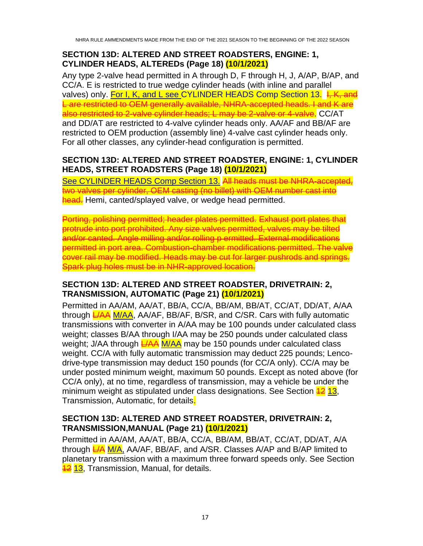#### <span id="page-16-0"></span>**SECTION 13D: ALTERED AND STREET ROADSTERS, ENGINE: 1, CYLINDER HEADS, ALTEREDs (Page 18) (10/1/2021)**

Any type 2-valve head permitted in A through D, F through H, J, A/AP, B/AP, and CC/A. E is restricted to true wedge cylinder heads (with inline and parallel valves) only. For I, K, and L see CYLINDER HEADS Comp Section 13. I. K, and L are restricted to OEM generally available, NHRA-accepted heads. I and K are also restricted to 2-valve cylinder heads; L may be 2-valve or 4-valve. CC/AT and DD/AT are restricted to 4-valve cylinder heads only. AA/AF and BB/AF are restricted to OEM production (assembly line) 4-valve cast cylinder heads only. For all other classes, any cylinder-head configuration is permitted.

#### <span id="page-16-1"></span>**SECTION 13D: ALTERED AND STREET ROADSTER, ENGINE: 1, CYLINDER HEADS, STREET ROADSTERS (Page 18) (10/1/2021)**

See CYLINDER HEADS Comp Section 13. All heads must be NHRA-accepted, two valves per cylinder, OEM casting (no billet) with OEM number cast into head. Hemi, canted/splayed valve, or wedge head permitted.

Porting, polishing permitted; header plates permitted. Exhaust port plates that protrude into port prohibited. Any size valves permitted, valves may be tilted and/or canted. Angle milling and/or rolling p ermitted. External modifications permitted in port area. Combustion-chamber modifications permitted. The valve cover rail may be modified. Heads may be cut for larger pushrods and springs. Spark plug holes must be in NHR-approved location.

#### <span id="page-16-2"></span>**SECTION 13D: ALTERED AND STREET ROADSTER, DRIVETRAIN: 2, TRANSMISSION, AUTOMATIC (Page 21) (10/1/2021)**

Permitted in AA/AM, AA/AT, BB/A, CC/A, BB/AM, BB/AT, CC/AT, DD/AT, A/AA through **L/AA** M/AA, AA/AF, BB/AF, B/SR, and C/SR. Cars with fully automatic transmissions with converter in A/AA may be 100 pounds under calculated class weight; classes B/AA through I/AA may be 250 pounds under calculated class weight; J/AA through  $\frac{L}{A}$  M/AA may be 150 pounds under calculated class weight. CC/A with fully automatic transmission may deduct 225 pounds; Lencodrive-type transmission may deduct 150 pounds (for CC/A only). CC/A may be under posted minimum weight, maximum 50 pounds. Except as noted above (for CC/A only), at no time, regardless of transmission, may a vehicle be under the minimum weight as stipulated under class designations. See Section  $\frac{42}{13}$ , Transmission, Automatic, for details.

#### <span id="page-16-3"></span>**SECTION 13D: ALTERED AND STREET ROADSTER, DRIVETRAIN: 2, TRANSMISSION,MANUAL (Page 21) (10/1/2021)**

Permitted in AA/AM, AA/AT, BB/A, CC/A, BB/AM, BB/AT, CC/AT, DD/AT, A/A through  $\frac{L}{A}$  M/A, AA/AF, BB/AF, and A/SR. Classes A/AP and B/AP limited to planetary transmission with a maximum three forward speeds only. See Section **12 13**, Transmission, Manual, for details.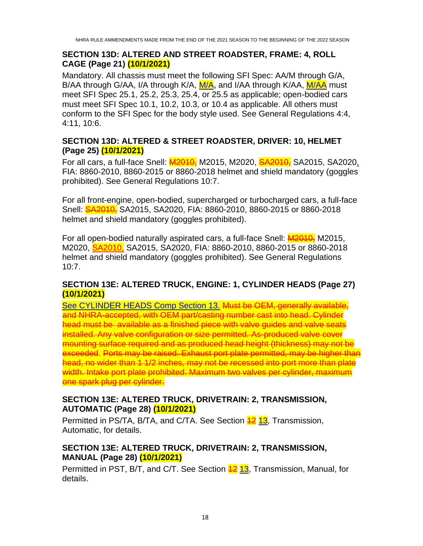#### <span id="page-17-0"></span>**SECTION 13D: ALTERED AND STREET ROADSTER, FRAME: 4, ROLL CAGE (Page 21) (10/1/2021)**

Mandatory. All chassis must meet the following SFI Spec: AA/M through G/A, B/AA through G/AA, I/A through K/A, M/A, and I/AA through K/AA, M/AA must meet SFI Spec 25.1, 25.2, 25.3, 25.4, or 25.5 as applicable; open-bodied cars must meet SFI Spec 10.1, 10.2, 10.3, or 10.4 as applicable. All others must conform to the SFI Spec for the body style used. See General Regulations 4:4, 4:11, 10:6.

#### <span id="page-17-1"></span>**SECTION 13D: ALTERED & STREET ROADSTER, DRIVER: 10, HELMET (Page 25) (10/1/2021)**

For all cars, a full-face Snell: **M2010,** M2015, M2020, SA2010, SA2015, SA2020, FIA: 8860-2010, 8860-2015 or 8860-2018 helmet and shield mandatory (goggles prohibited). See General Regulations 10:7.

For all front-engine, open-bodied, supercharged or turbocharged cars, a full-face Snell: SA2010, SA2015, SA2020, FIA: 8860-2010, 8860-2015 or 8860-2018 helmet and shield mandatory (goggles prohibited).

For all open-bodied naturally aspirated cars, a full-face Snell: **M2010**, M2015, M2020, SA2010, SA2015, SA2020, FIA: 8860-2010, 8860-2015 or 8860-2018 helmet and shield mandatory (goggles prohibited). See General Regulations 10:7.

#### <span id="page-17-2"></span>**SECTION 13E: ALTERED TRUCK, ENGINE: 1, CYLINDER HEADS (Page 27) (10/1/2021)**

See CYLINDER HEADS Comp Section 13. Must be OEM, generally available, and NHRA-accepted, with OEM part/casting number cast into head. Cylinder head must be available as a finished piece with valve guides and valve seats installed. Any valve configuration or size permitted. As-produced valve cover mounting surface required and as produced head height (thickness) may not be exceeded. Ports may be raised. Exhaust port plate permitted, may be higher than head, no wider than 1 1/2 inches, may not be recessed into port more than plate width. Intake port plate prohibited. Maximum two valves per cylinder, maximum one spark plug per cylinder.

#### <span id="page-17-3"></span>**SECTION 13E: ALTERED TRUCK, DRIVETRAIN: 2, TRANSMISSION, AUTOMATIC (Page 28) (10/1/2021)**

Permitted in PS/TA, B/TA, and C/TA. See Section **12 13**, Transmission, Automatic, for details.

#### <span id="page-17-4"></span>**SECTION 13E: ALTERED TRUCK, DRIVETRAIN: 2, TRANSMISSION, MANUAL (Page 28) (10/1/2021)**

Permitted in PST, B/T, and C/T. See Section **42 13**, Transmission, Manual, for details.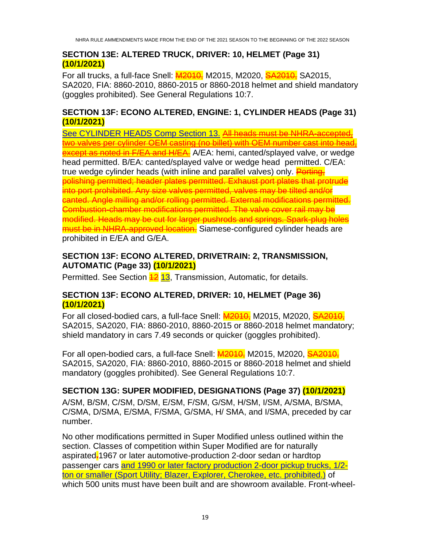#### <span id="page-18-0"></span>**SECTION 13E: ALTERED TRUCK, DRIVER: 10, HELMET (Page 31) (10/1/2021)**

For all trucks, a full-face Snell: **M2010**, M2015, M2020, SA2010, SA2015, SA2020, FIA: 8860-2010, 8860-2015 or 8860-2018 helmet and shield mandatory (goggles prohibited). See General Regulations 10:7.

#### <span id="page-18-1"></span>**SECTION 13F: ECONO ALTERED, ENGINE: 1, CYLINDER HEADS (Page 31) (10/1/2021)**

See CYLINDER HEADS Comp Section 13. All heads must be NHRA-accepted,  $t$  wo valves per cylinder OEM casting (no billet) with OEM number cast into head, except as noted in F/EA and H/EA. A/EA: hemi, canted/splayed valve, or wedge head permitted. B/EA: canted/splayed valve or wedge head permitted. C/EA: true wedge cylinder heads (with inline and parallel valves) only. Porting, polishing permitted; header plates permitted. Exhaust port plates that protrude into port prohibited. Any size valves permitted, valves may be tilted and/or canted. Angle milling and/or rolling permitted. External modifications permitted. Combustion-chamber modifications permitted. The valve cover rail may be modified. Heads may be cut for larger pushrods and springs. Spark-plug hole must be in NHRA-approved location. Siamese-configured cylinder heads are prohibited in E/EA and G/EA.

#### <span id="page-18-2"></span>**SECTION 13F: ECONO ALTERED, DRIVETRAIN: 2, TRANSMISSION, AUTOMATIC (Page 33) (10/1/2021)**

Permitted. See Section **42 13**, Transmission, Automatic, for details.

#### <span id="page-18-3"></span>**SECTION 13F: ECONO ALTERED, DRIVER: 10, HELMET (Page 36) (10/1/2021)**

For all closed-bodied cars, a full-face Snell: **M2010,** M2015, M2020, SA2010, SA2015, SA2020, FIA: 8860-2010, 8860-2015 or 8860-2018 helmet mandatory; shield mandatory in cars 7.49 seconds or quicker (goggles prohibited).

For all open-bodied cars, a full-face Snell: **M2010**, M2015, M2020, SA2010, SA2015, SA2020, FIA: 8860-2010, 8860-2015 or 8860-2018 helmet and shield mandatory (goggles prohibited). See General Regulations 10:7.

#### <span id="page-18-4"></span>**SECTION 13G: SUPER MODIFIED, DESIGNATIONS (Page 37) (10/1/2021)**

A/SM, B/SM, C/SM, D/SM, E/SM, F/SM, G/SM, H/SM, I/SM, A/SMA, B/SMA, C/SMA, D/SMA, E/SMA, F/SMA, G/SMA, H/ SMA, and I/SMA, preceded by car number.

No other modifications permitted in Super Modified unless outlined within the section. Classes of competition within Super Modified are for naturally aspirated**.**1967 or later automotive-production 2-door sedan or hardtop passenger cars and 1990 or later factory production 2-door pickup trucks, 1/2 ton or smaller (Sport Utility; Blazer, Explorer, Cherokee, etc. prohibited.) of which 500 units must have been built and are showroom available. Front-wheel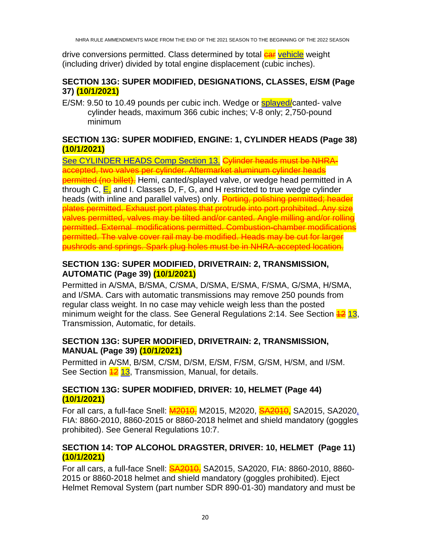drive conversions permitted. Class determined by total **car vehicle** weight (including driver) divided by total engine displacement (cubic inches).

#### <span id="page-19-0"></span>**SECTION 13G: SUPER MODIFIED, DESIGNATIONS, CLASSES, E/SM (Page 37) (10/1/2021)**

E/SM: 9.50 to 10.49 pounds per cubic inch. Wedge or splayed/canted- valve cylinder heads, maximum 366 cubic inches; V-8 only; 2,750-pound minimum

#### <span id="page-19-1"></span>**SECTION 13G: SUPER MODIFIED, ENGINE: 1, CYLINDER HEADS (Page 38) (10/1/2021)**

See CYLINDER HEADS Comp Section 13. Cylinder heads must be NHRAaccepted, two valves per cylinder. Aftermarket aluminum cylinder heads permitted (no billet). Hemi, canted/splayed valve, or wedge head permitted in A through C,  $E_i$  and I. Classes D, F, G, and H restricted to true wedge cylinder heads (with inline and parallel valves) only. Porting, polishing permitted; header plates permitted. Exhaust port plates that protrude into port prohibited. Any size valves permitted, valves may be tilted and/or canted. Angle milling and/or rolling permitted. External modifications permitted. Combustion-chamber modifications permitted. The valve cover rail may be modified. Heads may be cut for larger pushrods and springs. Spark plug holes must be in NHRA-accepted location.

#### <span id="page-19-2"></span>**SECTION 13G: SUPER MODIFIED, DRIVETRAIN: 2, TRANSMISSION, AUTOMATIC (Page 39) (10/1/2021)**

Permitted in A/SMA, B/SMA, C/SMA, D/SMA, E/SMA, F/SMA, G/SMA, H/SMA, and I/SMA. Cars with automatic transmissions may remove 250 pounds from regular class weight. In no case may vehicle weigh less than the posted minimum weight for the class. See General Regulations 2:14. See Section  $\frac{42}{13}$ , Transmission, Automatic, for details.

#### <span id="page-19-3"></span>**SECTION 13G: SUPER MODIFIED, DRIVETRAIN: 2, TRANSMISSION, MANUAL (Page 39) (10/1/2021)**

Permitted in A/SM, B/SM, C/SM, D/SM, E/SM, F/SM, G/SM, H/SM, and I/SM. See Section <sup>12</sup> 13, Transmission, Manual, for details.

#### <span id="page-19-4"></span>**SECTION 13G: SUPER MODIFIED, DRIVER: 10, HELMET (Page 44) (10/1/2021)**

For all cars, a full-face Snell: **M2010,** M2015, M2020, SA2010, SA2015, SA2020, FIA: 8860-2010, 8860-2015 or 8860-2018 helmet and shield mandatory (goggles prohibited). See General Regulations 10:7.

#### <span id="page-19-5"></span>**SECTION 14: TOP ALCOHOL DRAGSTER, DRIVER: 10, HELMET (Page 11) (10/1/2021)**

For all cars, a full-face Snell: **SA2010,** SA2015, SA2020, FIA: 8860-2010, 8860-2015 or 8860-2018 helmet and shield mandatory (goggles prohibited). Eject Helmet Removal System (part number SDR 890-01-30) mandatory and must be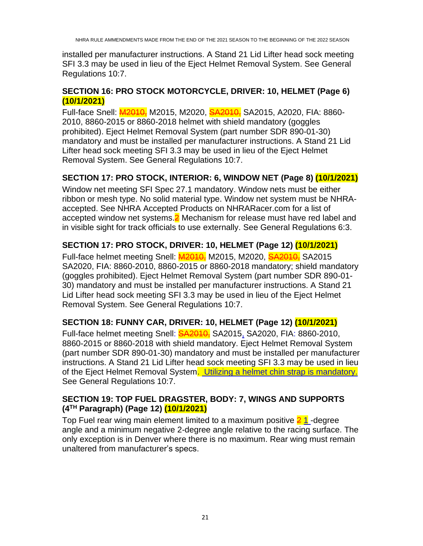installed per manufacturer instructions. A Stand 21 Lid Lifter head sock meeting SFI 3.3 may be used in lieu of the Eject Helmet Removal System. See General Regulations 10:7.

#### <span id="page-20-0"></span>**SECTION 16: PRO STOCK MOTORCYCLE, DRIVER: 10, HELMET (Page 6) (10/1/2021)**

Full-face Snell:  $\frac{\text{M2010}}{\text{M2015}}$ , M2020,  $\frac{\text{S}2010}{\text{S}42015}$ , A2020, FIA: 8860-2010, 8860-2015 or 8860-2018 helmet with shield mandatory (goggles prohibited). Eject Helmet Removal System (part number SDR 890-01-30) mandatory and must be installed per manufacturer instructions. A Stand 21 Lid Lifter head sock meeting SFI 3.3 may be used in lieu of the Eject Helmet Removal System. See General Regulations 10:7.

#### <span id="page-20-1"></span>**SECTION 17: PRO STOCK, INTERIOR: 6, WINDOW NET (Page 8) (10/1/2021)**

Window net meeting SFI Spec 27.1 mandatory. Window nets must be either ribbon or mesh type. No solid material type. Window net system must be NHRAaccepted. See NHRA Accepted Products on NHRARacer.com for a list of accepted window net systems. $2$  Mechanism for release must have red label and in visible sight for track officials to use externally. See General Regulations 6:3.

#### <span id="page-20-2"></span>**SECTION 17: PRO STOCK, DRIVER: 10, HELMET (Page 12) (10/1/2021)**

Full-face helmet meeting Snell: M<sub>2010</sub>, M2015, M2020, SA2010, SA2015 SA2020, FIA: 8860-2010, 8860-2015 or 8860-2018 mandatory; shield mandatory (goggles prohibited). Eject Helmet Removal System (part number SDR 890-01- 30) mandatory and must be installed per manufacturer instructions. A Stand 21 Lid Lifter head sock meeting SFI 3.3 may be used in lieu of the Eject Helmet Removal System. See General Regulations 10:7.

#### <span id="page-20-3"></span>**SECTION 18: FUNNY CAR, DRIVER: 10, HELMET (Page 12) (10/1/2021)**

Full-face helmet meeting Snell: **SA2010**, SA2015, SA2020, FIA: 8860-2010, 8860-2015 or 8860-2018 with shield mandatory. Eject Helmet Removal System (part number SDR 890-01-30) mandatory and must be installed per manufacturer instructions. A Stand 21 Lid Lifter head sock meeting SFI 3.3 may be used in lieu of the Eject Helmet Removal System. Utilizing a helmet chin strap is mandatory. See General Regulations 10:7.

#### <span id="page-20-4"></span>**SECTION 19: TOP FUEL DRAGSTER, BODY: 7, WINGS AND SUPPORTS (4TH Paragraph) (Page 12) (10/1/2021)**

Top Fuel rear wing main element limited to a maximum positive  $\frac{21}{1}$ -degree angle and a minimum negative 2-degree angle relative to the racing surface. The only exception is in Denver where there is no maximum. Rear wing must remain unaltered from manufacturer's specs.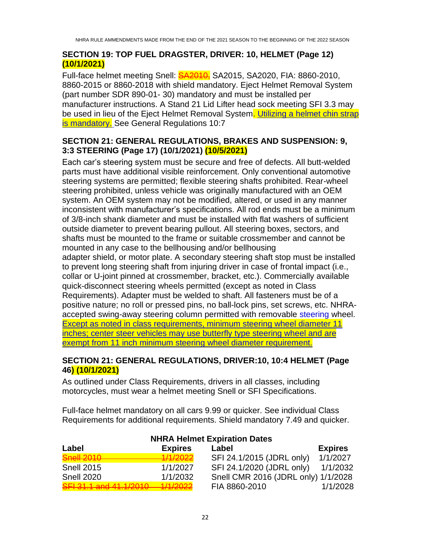#### <span id="page-21-0"></span>**SECTION 19: TOP FUEL DRAGSTER, DRIVER: 10, HELMET (Page 12) (10/1/2021)**

Full-face helmet meeting Snell: **SA2010**, SA2015, SA2020, FIA: 8860-2010, 8860-2015 or 8860-2018 with shield mandatory. Eject Helmet Removal System (part number SDR 890-01- 30) mandatory and must be installed per manufacturer instructions. A Stand 21 Lid Lifter head sock meeting SFI 3.3 may be used in lieu of the Eject Helmet Removal System. Utilizing a helmet chin strap is mandatory. See General Regulations 10:7

#### <span id="page-21-1"></span>**SECTION 21: GENERAL REGULATIONS, BRAKES AND SUSPENSION: 9, 3:3 STEERING (Page 17) (10/1/2021) (10/5/2021)**

Each car's steering system must be secure and free of defects. All butt-welded parts must have additional visible reinforcement. Only conventional automotive steering systems are permitted; flexible steering shafts prohibited. Rear-wheel steering prohibited, unless vehicle was originally manufactured with an OEM system. An OEM system may not be modified, altered, or used in any manner inconsistent with manufacturer's specifications. All rod ends must be a minimum of 3/8-inch shank diameter and must be installed with flat washers of sufficient outside diameter to prevent bearing pullout. All steering boxes, sectors, and shafts must be mounted to the frame or suitable crossmember and cannot be mounted in any case to the bellhousing and/or bellhousing adapter shield, or motor plate. A secondary steering shaft stop must be installed to prevent long steering shaft from injuring driver in case of frontal impact (i.e., collar or U-joint pinned at crossmember, bracket, etc.). Commercially available quick-disconnect steering wheels permitted (except as noted in Class Requirements). Adapter must be welded to shaft. All fasteners must be of a positive nature; no roll or pressed pins, no ball-lock pins, set screws, etc. NHRAaccepted swing-away steering column permitted with removable steering wheel. Except as noted in class requirements, minimum steering wheel diameter 11 inches; center steer vehicles may use butterfly type steering wheel and are

<span id="page-21-2"></span>exempt from 11 inch minimum steering wheel diameter requirement.

#### **SECTION 21: GENERAL REGULATIONS, DRIVER:10, 10:4 HELMET (Page 46) (10/1/2021)**

As outlined under Class Requirements, drivers in all classes, including motorcycles, must wear a helmet meeting Snell or SFI Specifications.

Full-face helmet mandatory on all cars 9.99 or quicker. See individual Class Requirements for additional requirements. Shield mandatory 7.49 and quicker.

| <b>NORTHA RESIDENT LABILITY DESIGNATION</b>                    |                                 |                                     |                |
|----------------------------------------------------------------|---------------------------------|-------------------------------------|----------------|
| Label                                                          | <b>Expires</b>                  | Label                               | <b>Expires</b> |
| Rnall 2010                                                     | 1/1/2002<br><del>.</del>        | SFI 24.1/2015 (JDRL only)           | 1/1/2027       |
| <b>Snell 2015</b>                                              | 1/1/2027                        | SFI 24.1/2020 (JDRL only)           | 1/1/2032       |
| <b>Snell 2020</b>                                              | 1/1/2032                        | Snell CMR 2016 (JDRL only) 1/1/2028 |                |
| CEL 21 1 and 11 1/2010<br><del>ori əl. i alıu 41. i/2010</del> | 1/1/2000<br><del>17172022</del> | FIA 8860-2010                       | 1/1/2028       |

#### **NHRA Helmet Expiration Dates**